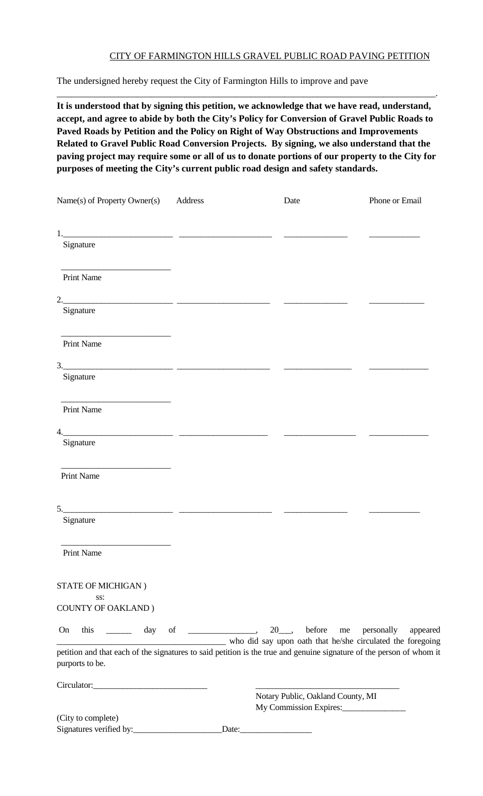#### CITY OF FARMINGTON HILLS GRAVEL PUBLIC ROAD PAVING PETITION

The undersigned hereby request the City of Farmington Hills to improve and pave

**It is understood that by signing this petition, we acknowledge that we have read, understand, accept, and agree to abide by both the City's Policy for Conversion of Gravel Public Roads to Paved Roads by Petition and the Policy on Right of Way Obstructions and Improvements Related to Gravel Public Road Conversion Projects. By signing, we also understand that the paving project may require some or all of us to donate portions of our property to the City for purposes of meeting the City's current public road design and safety standards.**

\_\_\_\_\_\_\_\_\_\_\_\_\_\_\_\_\_\_\_\_\_\_\_\_\_\_\_\_\_\_\_\_\_\_\_\_\_\_\_\_\_\_\_\_\_\_\_\_\_\_\_\_\_\_\_\_\_\_\_\_\_\_\_\_\_\_\_\_\_\_\_\_\_\_\_\_\_\_\_\_.

| Name(s) of Property Owner(s)                                                                                                                                                                                                                                                                                           | Address | Date                                                        | Phone or Email |
|------------------------------------------------------------------------------------------------------------------------------------------------------------------------------------------------------------------------------------------------------------------------------------------------------------------------|---------|-------------------------------------------------------------|----------------|
|                                                                                                                                                                                                                                                                                                                        |         |                                                             |                |
|                                                                                                                                                                                                                                                                                                                        |         |                                                             |                |
| Signature                                                                                                                                                                                                                                                                                                              |         |                                                             |                |
| Print Name                                                                                                                                                                                                                                                                                                             |         |                                                             |                |
|                                                                                                                                                                                                                                                                                                                        |         |                                                             |                |
| Signature                                                                                                                                                                                                                                                                                                              |         |                                                             |                |
| <u> 1980 - Johann Barbara, martin a</u><br><b>Print Name</b>                                                                                                                                                                                                                                                           |         |                                                             |                |
|                                                                                                                                                                                                                                                                                                                        |         |                                                             |                |
| Signature                                                                                                                                                                                                                                                                                                              |         |                                                             |                |
| Print Name                                                                                                                                                                                                                                                                                                             |         |                                                             |                |
| 4.                                                                                                                                                                                                                                                                                                                     |         |                                                             |                |
| Signature                                                                                                                                                                                                                                                                                                              |         |                                                             |                |
| Print Name                                                                                                                                                                                                                                                                                                             |         |                                                             |                |
| $5.$ $\frac{1}{2}$ $\frac{1}{2}$ $\frac{1}{2}$ $\frac{1}{2}$ $\frac{1}{2}$ $\frac{1}{2}$ $\frac{1}{2}$ $\frac{1}{2}$ $\frac{1}{2}$ $\frac{1}{2}$ $\frac{1}{2}$ $\frac{1}{2}$ $\frac{1}{2}$ $\frac{1}{2}$ $\frac{1}{2}$ $\frac{1}{2}$ $\frac{1}{2}$ $\frac{1}{2}$ $\frac{1}{2}$ $\frac{1}{2}$ $\frac{1}{2}$ $\frac{1}{$ |         |                                                             |                |
| Signature                                                                                                                                                                                                                                                                                                              |         |                                                             |                |
| Print Name                                                                                                                                                                                                                                                                                                             |         |                                                             |                |
| STATE OF MICHIGAN)                                                                                                                                                                                                                                                                                                     |         |                                                             |                |
| SS:<br><b>COUNTY OF OAKLAND</b> )                                                                                                                                                                                                                                                                                      |         |                                                             |                |
| On<br>this                                                                                                                                                                                                                                                                                                             |         | who did say upon oath that he/she circulated the foregoing  | appeared       |
| petition and that each of the signatures to said petition is the true and genuine signature of the person of whom it<br>purports to be.                                                                                                                                                                                |         |                                                             |                |
|                                                                                                                                                                                                                                                                                                                        |         |                                                             |                |
|                                                                                                                                                                                                                                                                                                                        |         | Notary Public, Oakland County, MI<br>My Commission Expires: |                |
| (City to complete)                                                                                                                                                                                                                                                                                                     |         |                                                             |                |
|                                                                                                                                                                                                                                                                                                                        |         |                                                             |                |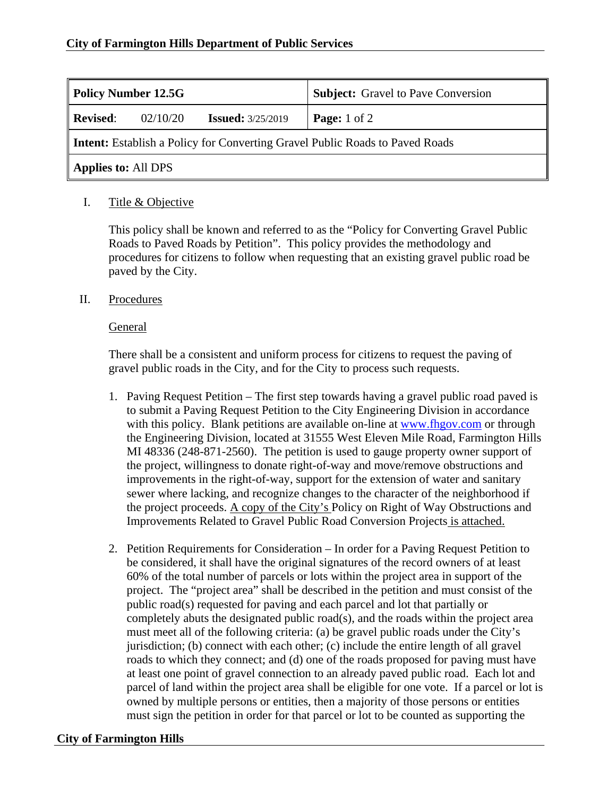| <b>Policy Number 12.5G</b>                                                   |          |                          | <b>Subject:</b> Gravel to Pave Conversion |  |
|------------------------------------------------------------------------------|----------|--------------------------|-------------------------------------------|--|
| Revised:                                                                     | 02/10/20 | <b>Issued:</b> 3/25/2019 | <b>Page:</b> $1$ of $2$                   |  |
| Intent: Establish a Policy for Converting Gravel Public Roads to Paved Roads |          |                          |                                           |  |
| Applies to: All DPS                                                          |          |                          |                                           |  |

# I. Title & Objective

This policy shall be known and referred to as the "Policy for Converting Gravel Public Roads to Paved Roads by Petition". This policy provides the methodology and procedures for citizens to follow when requesting that an existing gravel public road be paved by the City.

## II. Procedures

### General

There shall be a consistent and uniform process for citizens to request the paving of gravel public roads in the City, and for the City to process such requests.

- 1. Paving Request Petition The first step towards having a gravel public road paved is to submit a Paving Request Petition to the City Engineering Division in accordance with this policy. Blank petitions are available on-line at www.fhgov.com or through the Engineering Division, located at 31555 West Eleven Mile Road, Farmington Hills MI 48336 (248-871-2560). The petition is used to gauge property owner support of the project, willingness to donate right-of-way and move/remove obstructions and improvements in the right-of-way, support for the extension of water and sanitary sewer where lacking, and recognize changes to the character of the neighborhood if the project proceeds. A copy of the City's Policy on Right of Way Obstructions and Improvements Related to Gravel Public Road Conversion Projects is attached.
- 2. Petition Requirements for Consideration In order for a Paving Request Petition to be considered, it shall have the original signatures of the record owners of at least 60% of the total number of parcels or lots within the project area in support of the project. The "project area" shall be described in the petition and must consist of the public road(s) requested for paving and each parcel and lot that partially or completely abuts the designated public road(s), and the roads within the project area must meet all of the following criteria: (a) be gravel public roads under the City's jurisdiction; (b) connect with each other; (c) include the entire length of all gravel roads to which they connect; and (d) one of the roads proposed for paving must have at least one point of gravel connection to an already paved public road. Each lot and parcel of land within the project area shall be eligible for one vote. If a parcel or lot is owned by multiple persons or entities, then a majority of those persons or entities must sign the petition in order for that parcel or lot to be counted as supporting the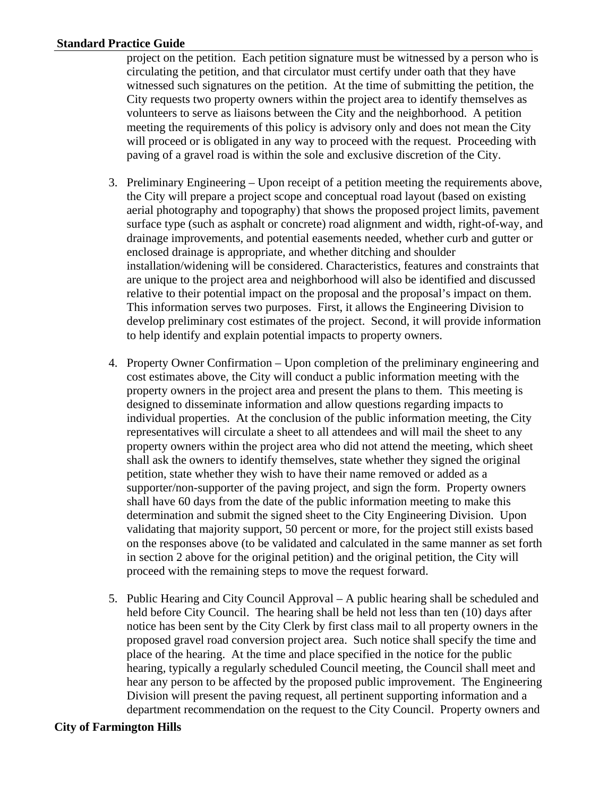#### **Standard Practice Guide**

project on the petition. Each petition signature must be witnessed by a person who is circulating the petition, and that circulator must certify under oath that they have witnessed such signatures on the petition. At the time of submitting the petition, the City requests two property owners within the project area to identify themselves as volunteers to serve as liaisons between the City and the neighborhood. A petition meeting the requirements of this policy is advisory only and does not mean the City will proceed or is obligated in any way to proceed with the request. Proceeding with paving of a gravel road is within the sole and exclusive discretion of the City.

- 3. Preliminary Engineering Upon receipt of a petition meeting the requirements above, the City will prepare a project scope and conceptual road layout (based on existing aerial photography and topography) that shows the proposed project limits, pavement surface type (such as asphalt or concrete) road alignment and width, right-of-way, and drainage improvements, and potential easements needed, whether curb and gutter or enclosed drainage is appropriate, and whether ditching and shoulder installation/widening will be considered. Characteristics, features and constraints that are unique to the project area and neighborhood will also be identified and discussed relative to their potential impact on the proposal and the proposal's impact on them. This information serves two purposes. First, it allows the Engineering Division to develop preliminary cost estimates of the project. Second, it will provide information to help identify and explain potential impacts to property owners.
- 4. Property Owner Confirmation Upon completion of the preliminary engineering and cost estimates above, the City will conduct a public information meeting with the property owners in the project area and present the plans to them. This meeting is designed to disseminate information and allow questions regarding impacts to individual properties. At the conclusion of the public information meeting, the City representatives will circulate a sheet to all attendees and will mail the sheet to any property owners within the project area who did not attend the meeting, which sheet shall ask the owners to identify themselves, state whether they signed the original petition, state whether they wish to have their name removed or added as a supporter/non-supporter of the paving project, and sign the form. Property owners shall have 60 days from the date of the public information meeting to make this determination and submit the signed sheet to the City Engineering Division. Upon validating that majority support, 50 percent or more, for the project still exists based on the responses above (to be validated and calculated in the same manner as set forth in section 2 above for the original petition) and the original petition, the City will proceed with the remaining steps to move the request forward.
- 5. Public Hearing and City Council Approval A public hearing shall be scheduled and held before City Council. The hearing shall be held not less than ten (10) days after notice has been sent by the City Clerk by first class mail to all property owners in the proposed gravel road conversion project area. Such notice shall specify the time and place of the hearing. At the time and place specified in the notice for the public hearing, typically a regularly scheduled Council meeting, the Council shall meet and hear any person to be affected by the proposed public improvement. The Engineering Division will present the paving request, all pertinent supporting information and a department recommendation on the request to the City Council. Property owners and

#### **City of Farmington Hills**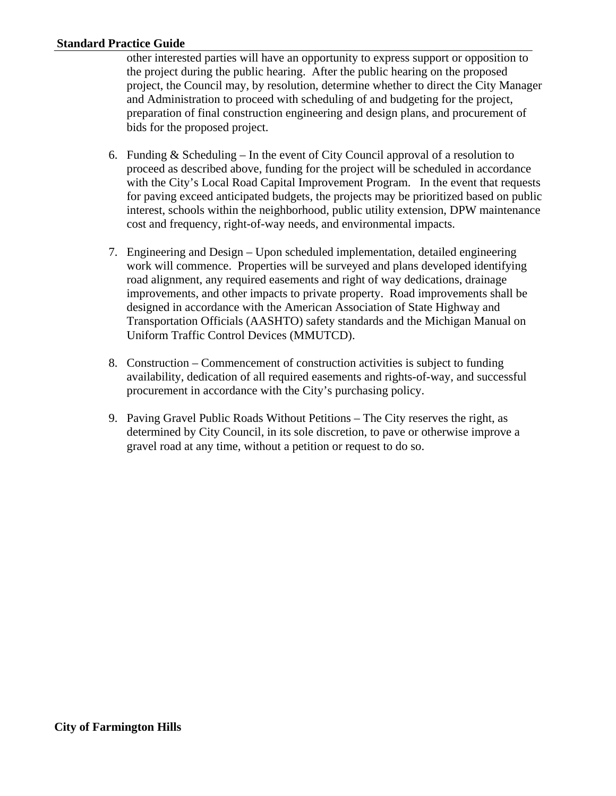#### **Standard Practice Guide**

other interested parties will have an opportunity to express support or opposition to the project during the public hearing. After the public hearing on the proposed project, the Council may, by resolution, determine whether to direct the City Manager and Administration to proceed with scheduling of and budgeting for the project, preparation of final construction engineering and design plans, and procurement of bids for the proposed project.

- 6. Funding  $&$  Scheduling In the event of City Council approval of a resolution to proceed as described above, funding for the project will be scheduled in accordance with the City's Local Road Capital Improvement Program. In the event that requests for paving exceed anticipated budgets, the projects may be prioritized based on public interest, schools within the neighborhood, public utility extension, DPW maintenance cost and frequency, right-of-way needs, and environmental impacts.
- 7. Engineering and Design Upon scheduled implementation, detailed engineering work will commence. Properties will be surveyed and plans developed identifying road alignment, any required easements and right of way dedications, drainage improvements, and other impacts to private property. Road improvements shall be designed in accordance with the American Association of State Highway and Transportation Officials (AASHTO) safety standards and the Michigan Manual on Uniform Traffic Control Devices (MMUTCD).
- 8. Construction Commencement of construction activities is subject to funding availability, dedication of all required easements and rights-of-way, and successful procurement in accordance with the City's purchasing policy.
- 9. Paving Gravel Public Roads Without Petitions The City reserves the right, as determined by City Council, in its sole discretion, to pave or otherwise improve a gravel road at any time, without a petition or request to do so.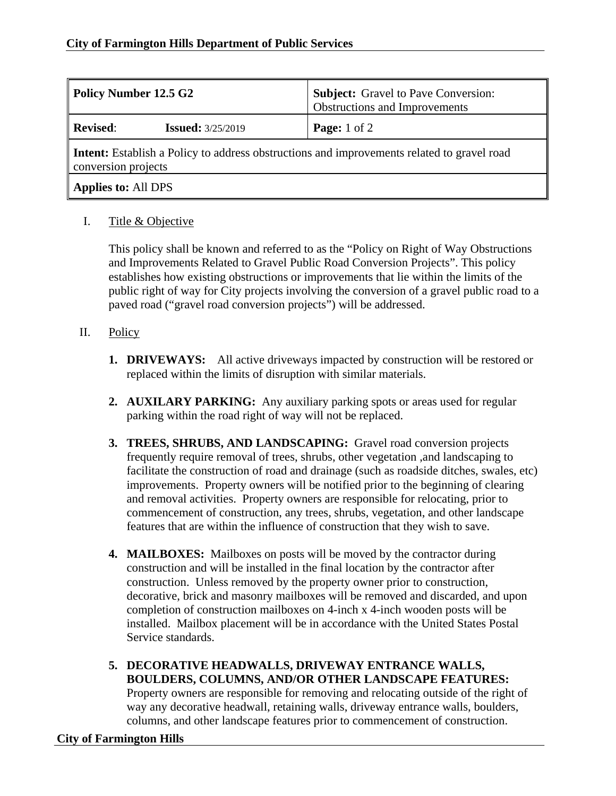| Dolicy Number 12.5 G2                                                                                             | <b>Subject:</b> Gravel to Pave Conversion:<br><b>Obstructions and Improvements</b> |  |  |  |
|-------------------------------------------------------------------------------------------------------------------|------------------------------------------------------------------------------------|--|--|--|
| Revised:<br><b>Issued:</b> 3/25/2019                                                                              | <b>Page:</b> $1$ of $2$                                                            |  |  |  |
| Intent: Establish a Policy to address obstructions and improvements related to gravel road<br>conversion projects |                                                                                    |  |  |  |

# **Applies to:** All DPS

## I. Title & Objective

This policy shall be known and referred to as the "Policy on Right of Way Obstructions and Improvements Related to Gravel Public Road Conversion Projects". This policy establishes how existing obstructions or improvements that lie within the limits of the public right of way for City projects involving the conversion of a gravel public road to a paved road ("gravel road conversion projects") will be addressed.

## II. Policy

- **1. DRIVEWAYS:** All active driveways impacted by construction will be restored or replaced within the limits of disruption with similar materials.
- **2. AUXILARY PARKING:** Any auxiliary parking spots or areas used for regular parking within the road right of way will not be replaced.
- **3. TREES, SHRUBS, AND LANDSCAPING:** Gravel road conversion projects frequently require removal of trees, shrubs, other vegetation ,and landscaping to facilitate the construction of road and drainage (such as roadside ditches, swales, etc) improvements. Property owners will be notified prior to the beginning of clearing and removal activities. Property owners are responsible for relocating, prior to commencement of construction, any trees, shrubs, vegetation, and other landscape features that are within the influence of construction that they wish to save.
- **4. MAILBOXES:** Mailboxes on posts will be moved by the contractor during construction and will be installed in the final location by the contractor after construction. Unless removed by the property owner prior to construction, decorative, brick and masonry mailboxes will be removed and discarded, and upon completion of construction mailboxes on 4-inch x 4-inch wooden posts will be installed. Mailbox placement will be in accordance with the United States Postal Service standards.
- **5. DECORATIVE HEADWALLS, DRIVEWAY ENTRANCE WALLS, BOULDERS, COLUMNS, AND/OR OTHER LANDSCAPE FEATURES:**  Property owners are responsible for removing and relocating outside of the right of way any decorative headwall, retaining walls, driveway entrance walls, boulders, columns, and other landscape features prior to commencement of construction.

## **City of Farmington Hills**